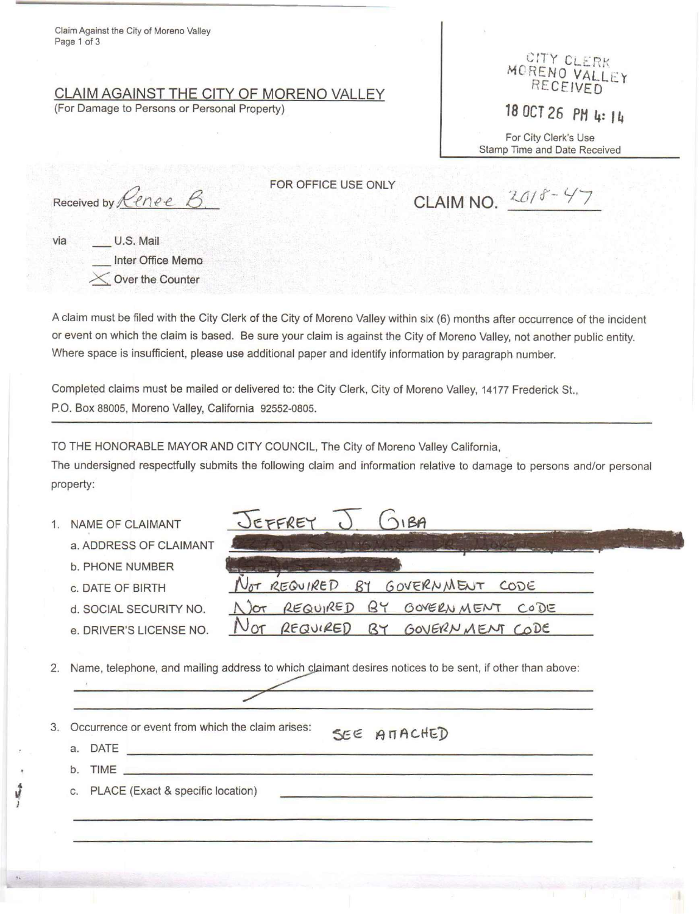Claim Against the City of Moreno Valley Page 1 of 3

## **CLAIM AGAINST THE CITY OF MORENO VALLEY** (For Damage to Persons or Personal Property)

CITY CLERK MURENO VALL RECEIVED -

*<sup>18</sup> OCT* **26** *PH* **4:** *<sup>14</sup>*

For City Clerk's Use Stamp Time and Date Received

Received by *Renee*  $\beta$ .

FOR OFFICE USE ONLY

**CLAIM NO.**  $2018 - 47$ 

via U.S. Mail Inter Office Memo Over the Counter

A claim must be filed with the City Clerk of the City of Moreno Valley within six (6) months after occurrence of the incident or event on which the claim is based. Be sure your claim is against the City of Moreno Valley, not another public entity. Where space is insufficient, please use additional paper and identify information by paragraph number.

Completed claims must be mailed or delivered to: the City Clerk, City of Moreno Valley, 14177 Frederick St., P.O. Box 88005, Moreno Valley, California 92552-0805.

TO THE HONORABLE MAYOR AND CITY COUNCIL, The City of Moreno Valley California,

EFFREY

The undersigned respectfully submits the following claim and information relative to damage to persons and/or personal property:

 $O(OIBA)$ 

- 1. NAME OF CLAIMANT
	- a. ADDRESS OF CLAIMANT
	- b. PHONE NUMBER
	- c. DATE OF BIRTH
	- d. SOCIAL SECURITY NO.
	- e. DRIVER'S LICENSE NO.

**----** ~--------- Not REQUIRED  $BY$ GOVERNMENT CODE REQUIRED  $N$  or  $BY$ GOVERNMENT CODE

2. Name, telephone, and mailing address to which claimant desires notices to be sent, if other than above:

- 3. Occurrence or event from which the claim arises:
	- a. DATE
- SEE ATACHED
- $\mathbf{b}$ . TIME

}

e ,

c. PLACE (Exact & specific location)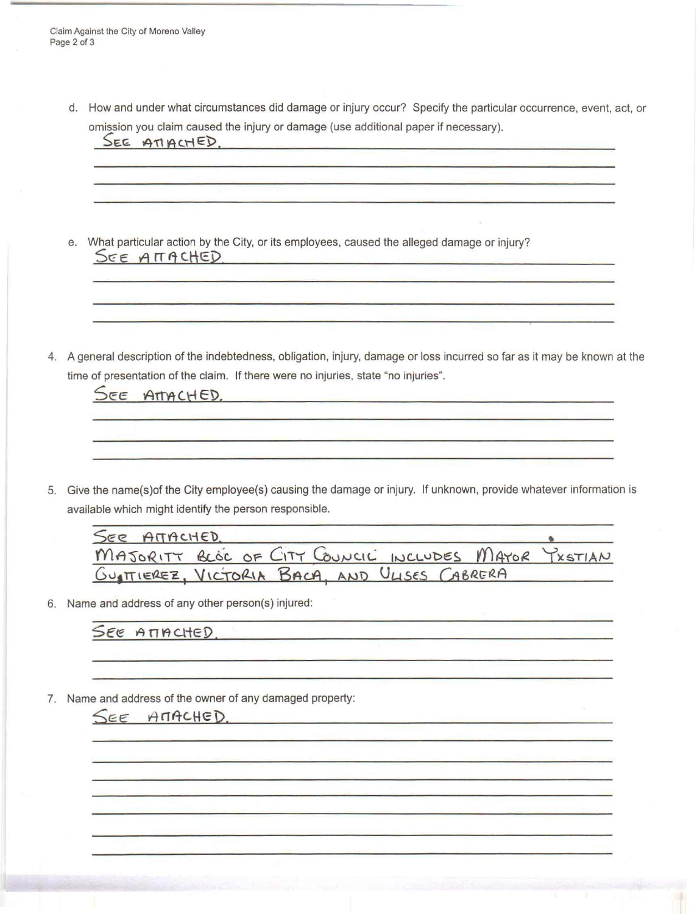Claim Against the City of Moreno Valley Page 2 of 3

> d. How and under what circumstances did damage or injury occur? Specify the particular occurrence, event, act, or omission you claim caused the injury or damage (use additional paper if necessary).

 $SEE$   $ATHCHED$ . <u> 1980 - John Stein, Amerikaansk politiker (</u>† 1980) e. What particular action by the City, or its employees, caused the alleged damage or injury? SEE ATTACHED <u> 1980 - Jan James James Jan James James Jan James James Jan James James Jan James James Jan James James James Ja</u> 4. A general description of the indebtedness, obligation, injury, damage or loss incurred so far as it may be known at the time of presentation of the claim. If there were no injuries, state "no injuries". SEE ATTACHED.

5. Give the name(s)of the City employee(s) causing the damage or injury. If unknown, provide whatever information is available which might identify the person responsible.

| SEE ATTACHED.                                        |  |  |  |  |
|------------------------------------------------------|--|--|--|--|
| MAJORITY BLOC OF CITY COUNCIL INCLUDES MAYOR YXSTIAN |  |  |  |  |
| GUSTIEREZ, VICTORIA BACA, AND ULISES CABRERA         |  |  |  |  |

6. Name and address of any other person(s) injured:

SEE ATTACHED.

7. Name and address of the owner of any damaged property:

SEE AMACHED.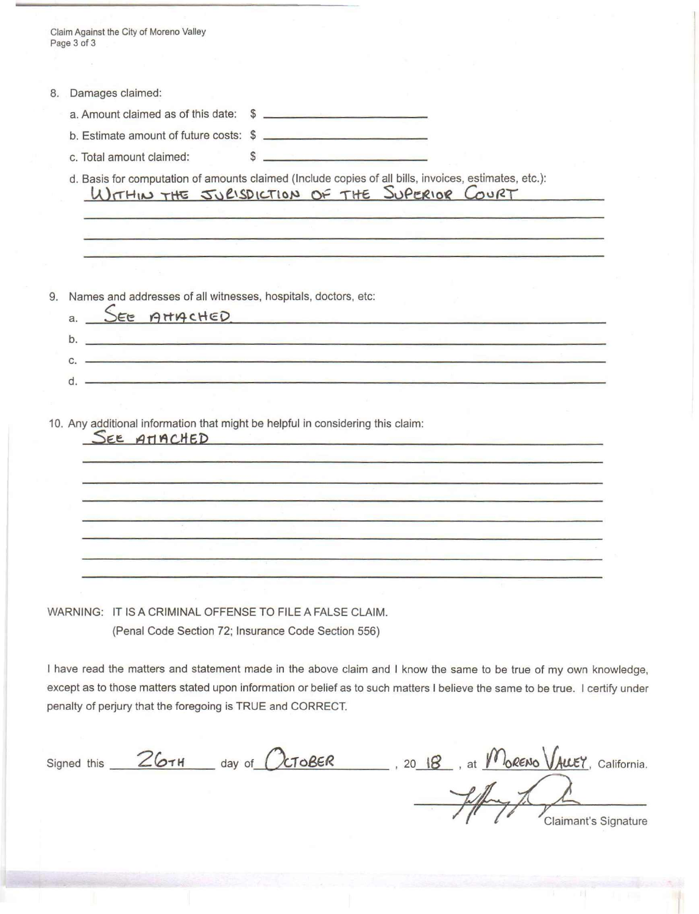| Claim Against the City of Moreno Valley<br>Page 3 of 3                                                                                                                                                                             |                                                                                                                                        |                                                                  |  |
|------------------------------------------------------------------------------------------------------------------------------------------------------------------------------------------------------------------------------------|----------------------------------------------------------------------------------------------------------------------------------------|------------------------------------------------------------------|--|
|                                                                                                                                                                                                                                    |                                                                                                                                        |                                                                  |  |
|                                                                                                                                                                                                                                    |                                                                                                                                        |                                                                  |  |
| Damages claimed:<br>8.                                                                                                                                                                                                             |                                                                                                                                        |                                                                  |  |
| a. Amount claimed as of this date: \$                                                                                                                                                                                              |                                                                                                                                        |                                                                  |  |
| b. Estimate amount of future costs: \$                                                                                                                                                                                             |                                                                                                                                        |                                                                  |  |
| c. Total amount claimed:                                                                                                                                                                                                           | <u> 1989 - Alexander Stadt Bernard Bernard Bernard Bernard Bernard Bernard Bernard Bernard Bernard Bernard Bernard</u><br>$\mathbb{S}$ |                                                                  |  |
| d. Basis for computation of amounts claimed (Include copies of all bills, invoices, estimates, etc.):                                                                                                                              |                                                                                                                                        |                                                                  |  |
| WITHIN THE JURISDICTION OF THE SUPERIOR COURT                                                                                                                                                                                      |                                                                                                                                        |                                                                  |  |
|                                                                                                                                                                                                                                    |                                                                                                                                        |                                                                  |  |
|                                                                                                                                                                                                                                    |                                                                                                                                        |                                                                  |  |
|                                                                                                                                                                                                                                    |                                                                                                                                        |                                                                  |  |
|                                                                                                                                                                                                                                    |                                                                                                                                        |                                                                  |  |
| Names and addresses of all witnesses, hospitals, doctors, etc:<br>9.                                                                                                                                                               |                                                                                                                                        |                                                                  |  |
| a. SEE AMACHED                                                                                                                                                                                                                     |                                                                                                                                        |                                                                  |  |
| <u> 1988 - Jan Berlinger, deutscher Schwarzer und der Schwarzer und der Kanade und der Schwarzer und der Kanade u</u><br>b.                                                                                                        |                                                                                                                                        |                                                                  |  |
| <u> 1999 - Jan James James James James James James James James James James James James James James James James J</u><br>$C_{\rm r}$                                                                                                |                                                                                                                                        |                                                                  |  |
| $\alpha$ , and the contract of the contract of the contract of the contract of the contract of the contract of the contract of the contract of the contract of the contract of the contract of the contract of the contract of the |                                                                                                                                        |                                                                  |  |
|                                                                                                                                                                                                                                    |                                                                                                                                        |                                                                  |  |
|                                                                                                                                                                                                                                    |                                                                                                                                        |                                                                  |  |
|                                                                                                                                                                                                                                    |                                                                                                                                        |                                                                  |  |
|                                                                                                                                                                                                                                    |                                                                                                                                        |                                                                  |  |
|                                                                                                                                                                                                                                    |                                                                                                                                        |                                                                  |  |
|                                                                                                                                                                                                                                    |                                                                                                                                        |                                                                  |  |
|                                                                                                                                                                                                                                    |                                                                                                                                        |                                                                  |  |
| WARNING: IT IS A CRIMINAL OFFENSE TO FILE A FALSE CLAIM.                                                                                                                                                                           |                                                                                                                                        |                                                                  |  |
| (Penal Code Section 72; Insurance Code Section 556)                                                                                                                                                                                |                                                                                                                                        |                                                                  |  |
|                                                                                                                                                                                                                                    |                                                                                                                                        |                                                                  |  |
| I have read the matters and statement made in the above claim and I know the same to be true of my own knowledge,                                                                                                                  |                                                                                                                                        |                                                                  |  |
| except as to those matters stated upon information or belief as to such matters I believe the same to be true. I certify under                                                                                                     |                                                                                                                                        |                                                                  |  |
| penalty of perjury that the foregoing is TRUE and CORRECT.                                                                                                                                                                         |                                                                                                                                        |                                                                  |  |
|                                                                                                                                                                                                                                    |                                                                                                                                        |                                                                  |  |
| Signed this 26TH day of OCTOBER                                                                                                                                                                                                    |                                                                                                                                        | $\frac{18}{18}$ , 20 18, at $\frac{M_0}{R}$ , ALLEY, California. |  |
|                                                                                                                                                                                                                                    |                                                                                                                                        |                                                                  |  |
|                                                                                                                                                                                                                                    |                                                                                                                                        |                                                                  |  |
|                                                                                                                                                                                                                                    |                                                                                                                                        | Claimant's Signature                                             |  |
|                                                                                                                                                                                                                                    |                                                                                                                                        |                                                                  |  |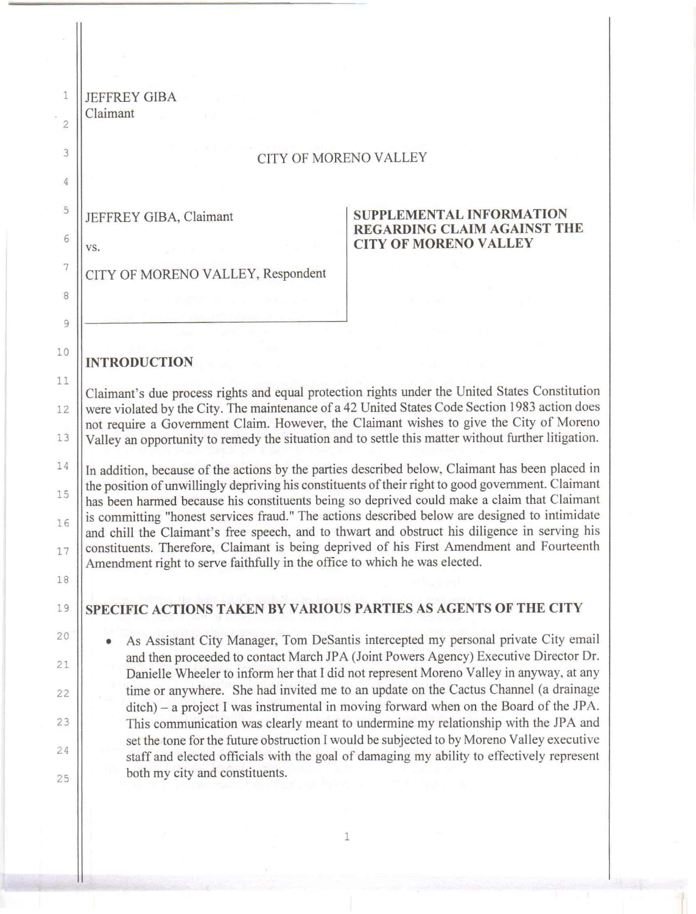| 1              | <b>JEFFREY GIBA</b>                                                                                                                                                                               |                                                                                                                                                                                 |  |  |  |  |  |
|----------------|---------------------------------------------------------------------------------------------------------------------------------------------------------------------------------------------------|---------------------------------------------------------------------------------------------------------------------------------------------------------------------------------|--|--|--|--|--|
| $\overline{2}$ | Claimant                                                                                                                                                                                          |                                                                                                                                                                                 |  |  |  |  |  |
| 3              | <b>CITY OF MORENO VALLEY</b>                                                                                                                                                                      |                                                                                                                                                                                 |  |  |  |  |  |
| 4              |                                                                                                                                                                                                   |                                                                                                                                                                                 |  |  |  |  |  |
| 5              | JEFFREY GIBA, Claimant                                                                                                                                                                            | <b>SUPPLEMENTAL INFORMATION</b>                                                                                                                                                 |  |  |  |  |  |
| 6              | VS.                                                                                                                                                                                               | <b>REGARDING CLAIM AGAINST THE</b><br><b>CITY OF MORENO VALLEY</b>                                                                                                              |  |  |  |  |  |
| 7              | CITY OF MORENO VALLEY, Respondent                                                                                                                                                                 |                                                                                                                                                                                 |  |  |  |  |  |
| 8              |                                                                                                                                                                                                   |                                                                                                                                                                                 |  |  |  |  |  |
| 9              |                                                                                                                                                                                                   |                                                                                                                                                                                 |  |  |  |  |  |
| 10             | <b>INTRODUCTION</b>                                                                                                                                                                               |                                                                                                                                                                                 |  |  |  |  |  |
| 11             |                                                                                                                                                                                                   |                                                                                                                                                                                 |  |  |  |  |  |
| 12             | Claimant's due process rights and equal protection rights under the United States Constitution<br>were violated by the City. The maintenance of a 42 United States Code Section 1983 action does  |                                                                                                                                                                                 |  |  |  |  |  |
| 13             | not require a Government Claim. However, the Claimant wishes to give the City of Moreno<br>Valley an opportunity to remedy the situation and to settle this matter without further litigation.    |                                                                                                                                                                                 |  |  |  |  |  |
| 14             | In addition, because of the actions by the parties described below, Claimant has been placed in                                                                                                   |                                                                                                                                                                                 |  |  |  |  |  |
| 15             | the position of unwillingly depriving his constituents of their right to good government. Claimant<br>has been harmed because his constituents being so deprived could make a claim that Claimant |                                                                                                                                                                                 |  |  |  |  |  |
| 16             | is committing "honest services fraud." The actions described below are designed to intimidate<br>and chill the Claimant's free speech, and to thwart and obstruct his diligence in serving his    |                                                                                                                                                                                 |  |  |  |  |  |
| 17             | constituents. Therefore, Claimant is being deprived of his First Amendment and Fourteenth                                                                                                         |                                                                                                                                                                                 |  |  |  |  |  |
| 18             | Amendment right to serve faithfully in the office to which he was elected.                                                                                                                        |                                                                                                                                                                                 |  |  |  |  |  |
| 19             | SPECIFIC ACTIONS TAKEN BY VARIOUS PARTIES AS AGENTS OF THE CITY                                                                                                                                   |                                                                                                                                                                                 |  |  |  |  |  |
| 20             |                                                                                                                                                                                                   | As Assistant City Manager, Tom DeSantis intercepted my personal private City email                                                                                              |  |  |  |  |  |
| 21             |                                                                                                                                                                                                   | and then proceeded to contact March JPA (Joint Powers Agency) Executive Director Dr.<br>Danielle Wheeler to inform her that I did not represent Moreno Valley in anyway, at any |  |  |  |  |  |
| 22             |                                                                                                                                                                                                   | time or anywhere. She had invited me to an update on the Cactus Channel (a drainage                                                                                             |  |  |  |  |  |
| 23             |                                                                                                                                                                                                   | ditch) – a project I was instrumental in moving forward when on the Board of the JPA.<br>This communication was clearly meant to undermine my relationship with the JPA and     |  |  |  |  |  |
| 24             | set the tone for the future obstruction I would be subjected to by Moreno Valley executive<br>staff and elected officials with the goal of damaging my ability to effectively represent           |                                                                                                                                                                                 |  |  |  |  |  |
| 25             | both my city and constituents.                                                                                                                                                                    |                                                                                                                                                                                 |  |  |  |  |  |
|                |                                                                                                                                                                                                   |                                                                                                                                                                                 |  |  |  |  |  |
|                |                                                                                                                                                                                                   |                                                                                                                                                                                 |  |  |  |  |  |

## 1